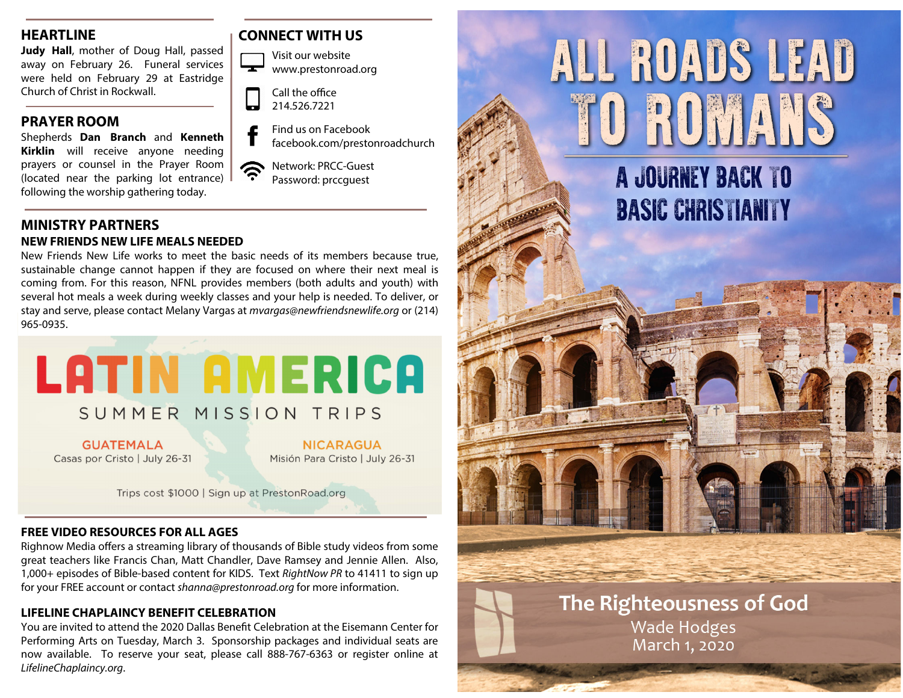# **HEARTLINE**

**Judy Hall**, mother of Doug Hall, passed away on February 26. Funeral services were held on February 29 at Eastridge Church of Christ in Rockwall.

# **PRAYER ROOM**

Shepherds **Dan Branch** and **Kenneth Kirklin** will receive anyone needing prayers or counsel in the Prayer Room (located near the parking lot entrance) following the worship gathering today.

#### **MINISTRY PARTNERS NEW FRIENDS NEW LIFE MEALS NEEDED**

New Friends New Life works to meet the basic needs of its members because true, sustainable change cannot happen if they are focused on where their next meal is coming from. For this reason, NFNL provides members (both adults and youth) with several hot meals a week during weekly classes and your help is needed. To deliver, or stay and serve, please contact Melany Vargas at mvargas@newfriendsnewlife.org or (214) 965-0935.



**GUATEMALA** Casas por Cristo | July 26-31

**NICARAGUA** Misión Para Cristo | July 26-31

Trips cost \$1000 | Sign up at PrestonRoad.org

#### **FREE VIDEO RESOURCES FOR ALL AGES**

Righnow Media offers a streaming library of thousands of Bible study videos from some great teachers like Francis Chan, Matt Chandler, Dave Ramsey and Jennie Allen. Also, 1,000+ episodes of Bible-based content for KIDS. Text RightNow PR to 41411 to sign up for your FREE account or contact shanna@prestonroad.org for more information.

### **LIFELINE CHAPLAINCY BENEFIT CELEBRATION**

You are invited to attend the 2020 Dallas Benefit Celebration at the Eisemann Center for Performing Arts on Tuesday, March 3. Sponsorship packages and individual seats are now available. To reserve your seat, please call 888-767-6363 or register online at LifelineChaplaincy.org.

# **CONNECT WITH US**



| Call the office |
|-----------------|
| 214.526.7221    |

[

- Find us on Facebook facebook.com/prestonroadchurch
- Network: PRCC-Guest Password: prccguest